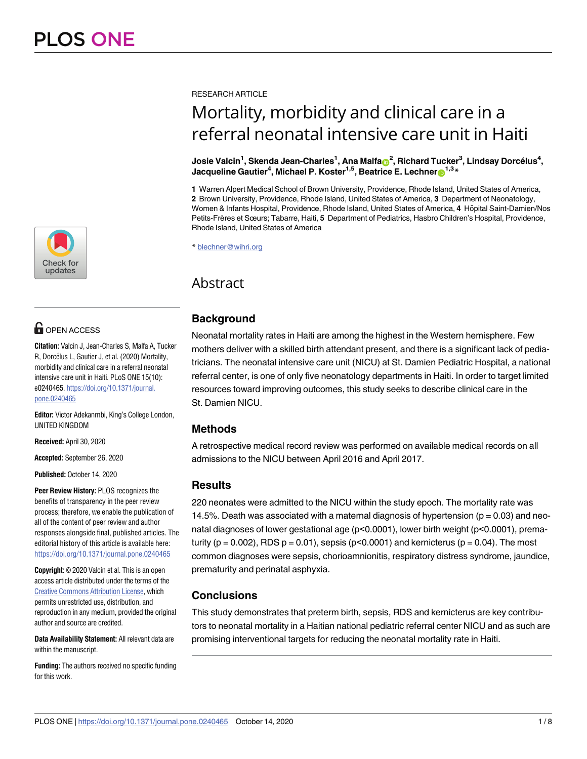

# **OPEN ACCESS**

**Citation:** Valcin J, Jean-Charles S, Malfa A, Tucker R, Dorcélus L, Gautier J, et al. (2020) Mortality, morbidity and clinical care in a referral neonatal intensive care unit in Haiti. PLoS ONE 15(10): e0240465. [https://doi.org/10.1371/journal.](https://doi.org/10.1371/journal.pone.0240465) [pone.0240465](https://doi.org/10.1371/journal.pone.0240465)

**Editor:** Victor Adekanmbi, King's College London, UNITED KINGDOM

**Received:** April 30, 2020

**Accepted:** September 26, 2020

**Published:** October 14, 2020

**Peer Review History:** PLOS recognizes the benefits of transparency in the peer review process; therefore, we enable the publication of all of the content of peer review and author responses alongside final, published articles. The editorial history of this article is available here: <https://doi.org/10.1371/journal.pone.0240465>

**Copyright:** © 2020 Valcin et al. This is an open access article distributed under the terms of the Creative Commons [Attribution](http://creativecommons.org/licenses/by/4.0/) License, which permits unrestricted use, distribution, and reproduction in any medium, provided the original author and source are credited.

**Data Availability Statement:** All relevant data are within the manuscript.

**Funding:** The authors received no specific funding for this work.

RESEARCH ARTICLE

# Mortality, morbidity and clinical care in a referral neonatal intensive care unit in Haiti

 $\bm{s}$ Josie Valcin<sup>1</sup>, Skenda Jean-Charles<sup>1</sup>, Ana Malfa $\bm{\odot}^2$ , Richard Tucker<sup>3</sup>, Lindsay Dorcélus<sup>4</sup>,  $\mu$  Jacqueline Gautier<sup>4</sup>, Michael P. Koster<sup>1,5</sup>, Beatrice E. Lechner $\odot$ <sup>1,3</sup> \*

**1** Warren Alpert Medical School of Brown University, Providence, Rhode Island, United States of America, **2** Brown University, Providence, Rhode Island, United States of America, **3** Department of Neonatology, Women & Infants Hospital, Providence, Rhode Island, United States of America, 4 Hôpital Saint-Damien/Nos Petits-Frères et Sœurs; Tabarre, Haiti, **5** Department of Pediatrics, Hasbro Children's Hospital, Providence, Rhode Island, United States of America

\* blechner@wihri.org

# Abstract

# **Background**

Neonatal mortality rates in Haiti are among the highest in the Western hemisphere. Few mothers deliver with a skilled birth attendant present, and there is a significant lack of pediatricians. The neonatal intensive care unit (NICU) at St. Damien Pediatric Hospital, a national referral center, is one of only five neonatology departments in Haiti. In order to target limited resources toward improving outcomes, this study seeks to describe clinical care in the St. Damien NICU.

## **Methods**

A retrospective medical record review was performed on available medical records on all admissions to the NICU between April 2016 and April 2017.

## **Results**

220 neonates were admitted to the NICU within the study epoch. The mortality rate was 14.5%. Death was associated with a maternal diagnosis of hypertension ( $p = 0.03$ ) and neonatal diagnoses of lower gestational age (p<0.0001), lower birth weight (p<0.0001), prematurity ( $p = 0.002$ ), RDS  $p = 0.01$ ), sepsis ( $p < 0.0001$ ) and kernicterus ( $p = 0.04$ ). The most common diagnoses were sepsis, chorioamnionitis, respiratory distress syndrome, jaundice, prematurity and perinatal asphyxia.

# **Conclusions**

This study demonstrates that preterm birth, sepsis, RDS and kernicterus are key contributors to neonatal mortality in a Haitian national pediatric referral center NICU and as such are promising interventional targets for reducing the neonatal mortality rate in Haiti.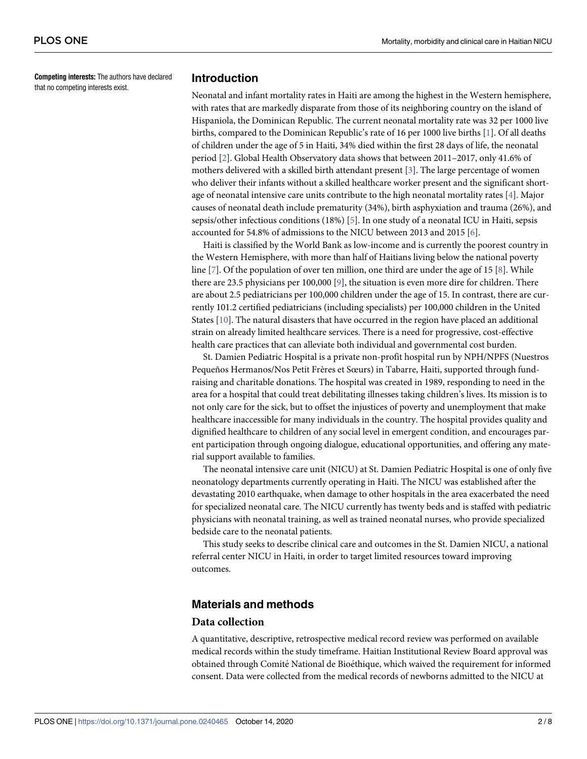<span id="page-1-0"></span>**Competing interests:** The authors have declared that no competing interests exist.

#### **Introduction**

Neonatal and infant mortality rates in Haiti are among the highest in the Western hemisphere, with rates that are markedly disparate from those of its neighboring country on the island of Hispaniola, the Dominican Republic. The current neonatal mortality rate was 32 per 1000 live births, compared to the Dominican Republic's rate of 16 per 1000 live births [\[1\]](#page-6-0). Of all deaths of children under the age of 5 in Haiti, 34% died within the first 28 days of life, the neonatal period [[2\]](#page-6-0). Global Health Observatory data shows that between 2011–2017, only 41.6% of mothers delivered with a skilled birth attendant present [[3\]](#page-7-0). The large percentage of women who deliver their infants without a skilled healthcare worker present and the significant shortage of neonatal intensive care units contribute to the high neonatal mortality rates [\[4](#page-7-0)]. Major causes of neonatal death include prematurity (34%), birth asphyxiation and trauma (26%), and sepsis/other infectious conditions (18%) [\[5\]](#page-7-0). In one study of a neonatal ICU in Haiti, sepsis accounted for 54.8% of admissions to the NICU between 2013 and 2015 [[6](#page-7-0)].

Haiti is classified by the World Bank as low-income and is currently the poorest country in the Western Hemisphere, with more than half of Haitians living below the national poverty line [\[7](#page-7-0)]. Of the population of over ten million, one third are under the age of 15 [[8](#page-7-0)]. While there are 23.5 physicians per 100,000 [\[9](#page-7-0)], the situation is even more dire for children. There are about 2.5 pediatricians per 100,000 children under the age of 15. In contrast, there are currently 101.2 certified pediatricians (including specialists) per 100,000 children in the United States [[10](#page-7-0)]. The natural disasters that have occurred in the region have placed an additional strain on already limited healthcare services. There is a need for progressive, cost-effective health care practices that can alleviate both individual and governmental cost burden.

St. Damien Pediatric Hospital is a private non-profit hospital run by NPH/NPFS (Nuestros Pequeños Hermanos/Nos Petit Frères et Sœurs) in Tabarre, Haiti, supported through fundraising and charitable donations. The hospital was created in 1989, responding to need in the area for a hospital that could treat debilitating illnesses taking children's lives. Its mission is to not only care for the sick, but to offset the injustices of poverty and unemployment that make healthcare inaccessible for many individuals in the country. The hospital provides quality and dignified healthcare to children of any social level in emergent condition, and encourages parent participation through ongoing dialogue, educational opportunities, and offering any material support available to families.

The neonatal intensive care unit (NICU) at St. Damien Pediatric Hospital is one of only five neonatology departments currently operating in Haiti. The NICU was established after the devastating 2010 earthquake, when damage to other hospitals in the area exacerbated the need for specialized neonatal care. The NICU currently has twenty beds and is staffed with pediatric physicians with neonatal training, as well as trained neonatal nurses, who provide specialized bedside care to the neonatal patients.

This study seeks to describe clinical care and outcomes in the St. Damien NICU, a national referral center NICU in Haiti, in order to target limited resources toward improving outcomes.

#### **Materials and methods**

#### **Data collection**

A quantitative, descriptive, retrospective medical record review was performed on available medical records within the study timeframe. Haitian Institutional Review Board approval was obtained through Comité National de Bioéthique, which waived the requirement for informed consent. Data were collected from the medical records of newborns admitted to the NICU at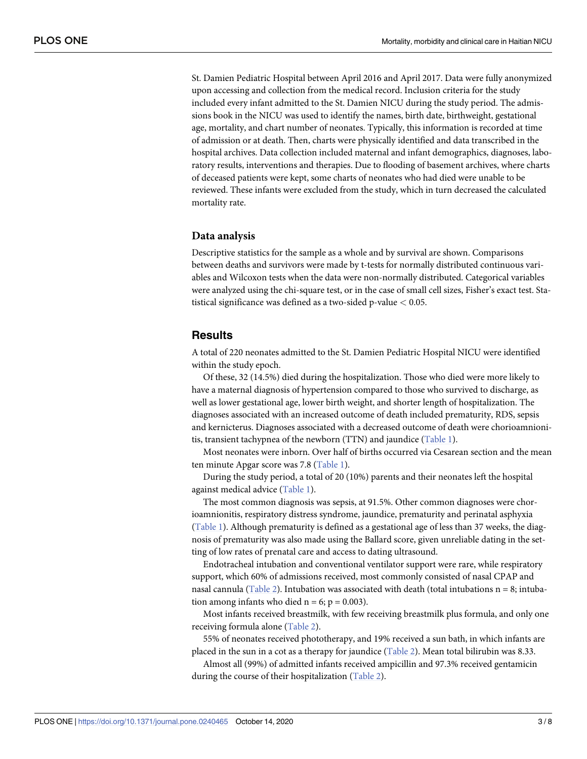<span id="page-2-0"></span>St. Damien Pediatric Hospital between April 2016 and April 2017. Data were fully anonymized upon accessing and collection from the medical record. Inclusion criteria for the study included every infant admitted to the St. Damien NICU during the study period. The admissions book in the NICU was used to identify the names, birth date, birthweight, gestational age, mortality, and chart number of neonates. Typically, this information is recorded at time of admission or at death. Then, charts were physically identified and data transcribed in the hospital archives. Data collection included maternal and infant demographics, diagnoses, laboratory results, interventions and therapies. Due to flooding of basement archives, where charts of deceased patients were kept, some charts of neonates who had died were unable to be reviewed. These infants were excluded from the study, which in turn decreased the calculated mortality rate.

#### **Data analysis**

Descriptive statistics for the sample as a whole and by survival are shown. Comparisons between deaths and survivors were made by t-tests for normally distributed continuous variables and Wilcoxon tests when the data were non-normally distributed. Categorical variables were analyzed using the chi-square test, or in the case of small cell sizes, Fisher's exact test. Statistical significance was defined as a two-sided p-value *<* 0.05.

#### **Results**

A total of 220 neonates admitted to the St. Damien Pediatric Hospital NICU were identified within the study epoch.

Of these, 32 (14.5%) died during the hospitalization. Those who died were more likely to have a maternal diagnosis of hypertension compared to those who survived to discharge, as well as lower gestational age, lower birth weight, and shorter length of hospitalization. The diagnoses associated with an increased outcome of death included prematurity, RDS, sepsis and kernicterus. Diagnoses associated with a decreased outcome of death were chorioamnionitis, transient tachypnea of the newborn (TTN) and jaundice ([Table](#page-3-0) 1).

Most neonates were inborn. Over half of births occurred via Cesarean section and the mean ten minute Apgar score was 7.8 [\(Table](#page-3-0) 1).

During the study period, a total of 20 (10%) parents and their neonates left the hospital against medical advice ([Table](#page-3-0) 1).

The most common diagnosis was sepsis, at 91.5%. Other common diagnoses were chorioamnionitis, respiratory distress syndrome, jaundice, prematurity and perinatal asphyxia [\(Table](#page-3-0) 1). Although prematurity is defined as a gestational age of less than 37 weeks, the diagnosis of prematurity was also made using the Ballard score, given unreliable dating in the setting of low rates of prenatal care and access to dating ultrasound.

Endotracheal intubation and conventional ventilator support were rare, while respiratory support, which 60% of admissions received, most commonly consisted of nasal CPAP and nasal cannula ([Table](#page-4-0) 2). Intubation was associated with death (total intubations  $n = 8$ ; intubation among infants who died  $n = 6$ ;  $p = 0.003$ ).

Most infants received breastmilk, with few receiving breastmilk plus formula, and only one receiving formula alone ([Table](#page-4-0) 2).

55% of neonates received phototherapy, and 19% received a sun bath, in which infants are placed in the sun in a cot as a therapy for jaundice ([Table](#page-4-0) 2). Mean total bilirubin was 8.33.

Almost all (99%) of admitted infants received ampicillin and 97.3% received gentamicin during the course of their hospitalization [\(Table](#page-4-0) 2).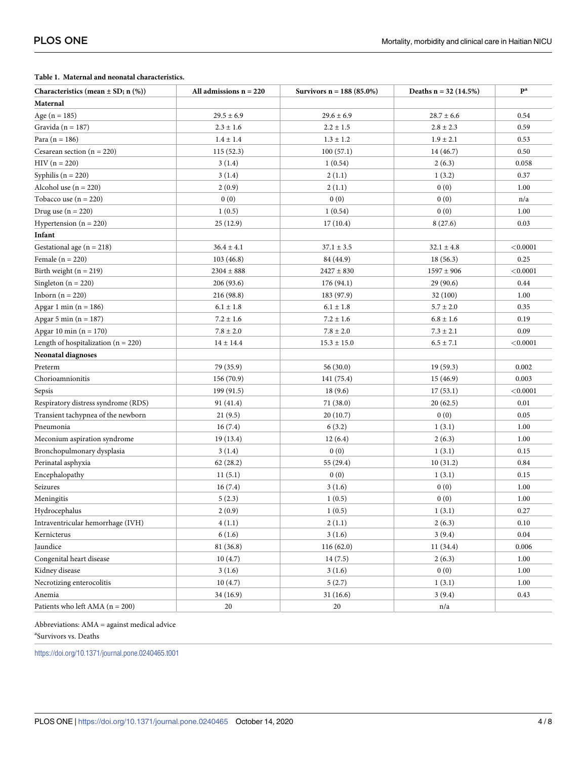#### <span id="page-3-0"></span>**[Table](#page-2-0) 1. Maternal and neonatal characteristics.**

| Characteristics (mean $\pm$ SD; n (%))  | All admissions $n = 220$ | Survivors $n = 188 (85.0\%)$ | Deaths $n = 32$ (14.5%) | $\mathbf{p}^{\mathbf{a}}$ |
|-----------------------------------------|--------------------------|------------------------------|-------------------------|---------------------------|
| Maternal                                |                          |                              |                         |                           |
| Age $(n = 185)$                         | $29.5 \pm 6.9$           | $29.6 \pm 6.9$               | $28.7 \pm 6.6$          | 0.54                      |
| Gravida ( $n = 187$ )                   | $2.3 \pm 1.6$            | $2.2 \pm 1.5$                | $2.8 \pm 2.3$           | 0.59                      |
| Para $(n = 186)$                        | $1.4 \pm 1.4$            | $1.3 \pm 1.2$                | $1.9 \pm 2.1$           | 0.53                      |
| Cesarean section ( $n = 220$ )          | 115(52.3)                | 100(57.1)                    | 14 (46.7)               | 0.50                      |
| $HIV (n = 220)$                         | 3(1.4)                   | 1(0.54)                      | 2(6.3)                  | 0.058                     |
| Syphilis ( $n = 220$ )                  | 3(1.4)                   | 2(1.1)                       | 1(3.2)                  | 0.37                      |
| Alcohol use $(n = 220)$                 | 2(0.9)                   | 2(1.1)                       | 0(0)                    | 1.00                      |
| Tobacco use $(n = 220)$                 | 0(0)                     | 0(0)                         | 0(0)                    | n/a                       |
| Drug use $(n = 220)$                    | 1(0.5)                   | 1(0.54)                      | 0(0)                    | 1.00                      |
| Hypertension $(n = 220)$                | 25(12.9)                 | 17(10.4)                     | 8(27.6)                 | 0.03                      |
| Infant                                  |                          |                              |                         |                           |
| Gestational age $(n = 218)$             | $36.4 \pm 4.1$           | $37.1 \pm 3.5$               | $32.1 \pm 4.8$          | < 0.0001                  |
| Female $(n = 220)$                      | 103(46.8)                | 84 (44.9)                    | 18(56.3)                | 0.25                      |
| Birth weight $(n = 219)$                | $2304 \pm 888$           | $2427 \pm 830$               | $1597 \pm 906$          | < 0.0001                  |
| Singleton ( $n = 220$ )                 | 206(93.6)                | 176 (94.1)                   | 29 (90.6)               | 0.44                      |
| Inborn $(n = 220)$                      | 216 (98.8)               | 183 (97.9)                   | 32 (100)                | 1.00                      |
| Apgar 1 min $(n = 186)$                 | $6.1\pm1.8$              | $6.1 \pm 1.8$                | $5.7 \pm 2.0$           | 0.35                      |
| Apgar 5 min ( $n = 187$ )               | $7.2 \pm 1.6$            | $7.2 \pm 1.6$                | $6.8 \pm 1.6$           | 0.19                      |
| Apgar 10 min $(n = 170)$                | $7.8\pm2.0$              | $7.8\pm2.0$                  | $7.3 \pm 2.1$           | 0.09                      |
| Length of hospitalization ( $n = 220$ ) | $14 \pm 14.4$            | $15.3 \pm 15.0$              | $6.5 \pm 7.1$           | < 0.0001                  |
| Neonatal diagnoses                      |                          |                              |                         |                           |
| Preterm                                 | 79 (35.9)                | 56(30.0)                     | 19(59.3)                | 0.002                     |
| Chorioamnionitis                        | 156 (70.9)               | 141 (75.4)                   | 15(46.9)                | 0.003                     |
| Sepsis                                  | 199(91.5)                | 18(9.6)                      | 17(53.1)                | < 0.0001                  |
| Respiratory distress syndrome (RDS)     | 91 (41.4)                | 71 (38.0)                    | 20(62.5)                | 0.01                      |
| Transient tachypnea of the newborn      | 21(9.5)                  | 20(10.7)                     | 0(0)                    | 0.05                      |
| Pneumonia                               | 16(7.4)                  | 6(3.2)                       | 1(3.1)                  | 1.00                      |
| Meconium aspiration syndrome            | 19(13.4)                 | 12(6.4)                      | 2(6.3)                  | 1.00                      |
| Bronchopulmonary dysplasia              | 3(1.4)                   | 0(0)                         | 1(3.1)                  | 0.15                      |
| Perinatal asphyxia                      | 62(28.2)                 | 55 (29.4)                    | 10(31.2)                | 0.84                      |
| Encephalopathy                          | 11(5.1)                  | 0(0)                         | 1(3.1)                  | 0.15                      |
| Seizures                                | 16(7.4)                  | 3(1.6)                       | 0(0)                    | 1.00                      |
| Meningitis                              | 5(2.3)                   | 1(0.5)                       | 0(0)                    | 1.00                      |
| Hydrocephalus                           | 2(0.9)                   | 1(0.5)                       | 1(3.1)                  | 0.27                      |
| Intraventricular hemorrhage (IVH)       | 4(1.1)                   | 2(1.1)                       | 2(6.3)                  | 0.10                      |
| Kernicterus                             | 6(1.6)                   | 3(1.6)                       | 3(9.4)                  | 0.04                      |
| Jaundice                                | 81 (36.8)                | 116 (62.0)                   | 11(34.4)                | 0.006                     |
| Congenital heart disease                | 10(4.7)                  | 14(7.5)                      | 2(6.3)                  | 1.00                      |
| Kidney disease                          | 3(1.6)                   | 3(1.6)                       | 0(0)                    | 1.00                      |
| Necrotizing enterocolitis               | 10(4.7)                  | 5(2.7)                       | 1(3.1)                  | 1.00                      |
| Anemia                                  | 34(16.9)                 | 31(16.6)                     | 3(9.4)                  | 0.43                      |
| Patients who left AMA ( $n = 200$ )     | 20                       | 20                           | n/a                     |                           |

Abbreviations: AMA = against medical advice

a Survivors vs. Deaths

<https://doi.org/10.1371/journal.pone.0240465.t001>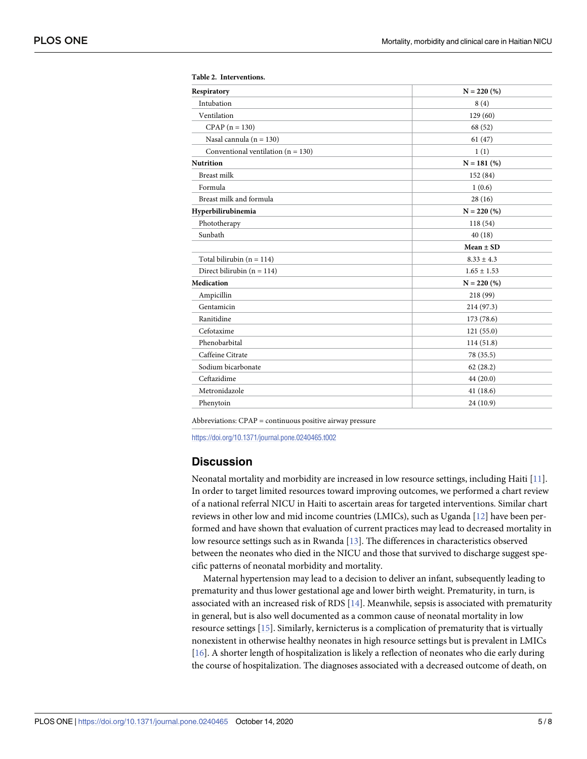| Respiratory                            | $N = 220$ (%)   |
|----------------------------------------|-----------------|
| Intubation                             | 8(4)            |
| Ventilation                            | 129(60)         |
| $CPAP (n = 130)$                       | 68 (52)         |
| Nasal cannula ( $n = 130$ )            | 61(47)          |
| Conventional ventilation ( $n = 130$ ) | 1(1)            |
| <b>Nutrition</b>                       | $N = 181$ (%)   |
| Breast milk                            | 152 (84)        |
| Formula                                | 1(0.6)          |
| Breast milk and formula                | 28(16)          |
| Hyperbilirubinemia                     | $N = 220$ (%)   |
| Phototherapy                           | 118 (54)        |
| Sunbath                                | 40(18)          |
|                                        | $Mean \pm SD$   |
| Total bilirubin ( $n = 114$ )          | $8.33 \pm 4.3$  |
| Direct bilirubin ( $n = 114$ )         | $1.65 \pm 1.53$ |
| Medication                             | $N = 220$ (%)   |
| Ampicillin                             | 218 (99)        |
| Gentamicin                             | 214 (97.3)      |
| Ranitidine                             | 173 (78.6)      |
| Cefotaxime                             | 121(55.0)       |
| Phenobarbital                          | 114(51.8)       |
| Caffeine Citrate                       | 78 (35.5)       |
| Sodium bicarbonate                     | 62(28.2)        |
| Ceftazidime                            | 44 (20.0)       |
| Metronidazole                          | 41(18.6)        |
| Phenytoin                              | 24 (10.9)       |

<span id="page-4-0"></span>

| Table 2. Interventions. |
|-------------------------|
|-------------------------|

Abbreviations: CPAP = continuous positive airway pressure

<https://doi.org/10.1371/journal.pone.0240465.t002>

#### **Discussion**

Neonatal mortality and morbidity are increased in low resource settings, including Haiti [\[11\]](#page-7-0). In order to target limited resources toward improving outcomes, we performed a chart review of a national referral NICU in Haiti to ascertain areas for targeted interventions. Similar chart reviews in other low and mid income countries (LMICs), such as Uganda [[12](#page-7-0)] have been performed and have shown that evaluation of current practices may lead to decreased mortality in low resource settings such as in Rwanda [\[13\]](#page-7-0). The differences in characteristics observed between the neonates who died in the NICU and those that survived to discharge suggest specific patterns of neonatal morbidity and mortality.

Maternal hypertension may lead to a decision to deliver an infant, subsequently leading to prematurity and thus lower gestational age and lower birth weight. Prematurity, in turn, is associated with an increased risk of RDS [[14](#page-7-0)]. Meanwhile, sepsis is associated with prematurity in general, but is also well documented as a common cause of neonatal mortality in low resource settings [\[15\]](#page-7-0). Similarly, kernicterus is a complication of prematurity that is virtually nonexistent in otherwise healthy neonates in high resource settings but is prevalent in LMICs [\[16\]](#page-7-0). A shorter length of hospitalization is likely a reflection of neonates who die early during the course of hospitalization. The diagnoses associated with a decreased outcome of death, on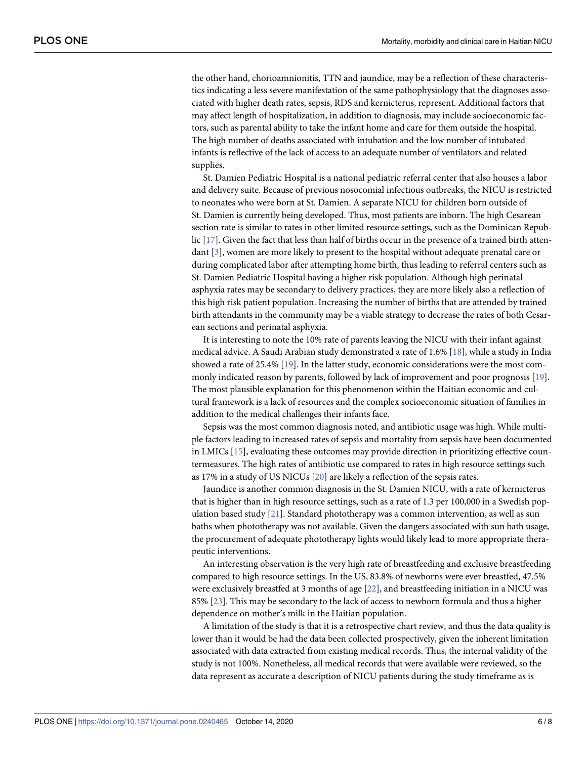<span id="page-5-0"></span>the other hand, chorioamnionitis, TTN and jaundice, may be a reflection of these characteristics indicating a less severe manifestation of the same pathophysiology that the diagnoses associated with higher death rates, sepsis, RDS and kernicterus, represent. Additional factors that may affect length of hospitalization, in addition to diagnosis, may include socioeconomic factors, such as parental ability to take the infant home and care for them outside the hospital. The high number of deaths associated with intubation and the low number of intubated infants is reflective of the lack of access to an adequate number of ventilators and related supplies.

St. Damien Pediatric Hospital is a national pediatric referral center that also houses a labor and delivery suite. Because of previous nosocomial infectious outbreaks, the NICU is restricted to neonates who were born at St. Damien. A separate NICU for children born outside of St. Damien is currently being developed. Thus, most patients are inborn. The high Cesarean section rate is similar to rates in other limited resource settings, such as the Dominican Republic [[17](#page-7-0)]. Given the fact that less than half of births occur in the presence of a trained birth attendant [[3](#page-7-0)], women are more likely to present to the hospital without adequate prenatal care or during complicated labor after attempting home birth, thus leading to referral centers such as St. Damien Pediatric Hospital having a higher risk population. Although high perinatal asphyxia rates may be secondary to delivery practices, they are more likely also a reflection of this high risk patient population. Increasing the number of births that are attended by trained birth attendants in the community may be a viable strategy to decrease the rates of both Cesarean sections and perinatal asphyxia.

It is interesting to note the 10% rate of parents leaving the NICU with their infant against medical advice. A Saudi Arabian study demonstrated a rate of 1.6% [\[18\]](#page-7-0), while a study in India showed a rate of 25.4% [\[19\]](#page-7-0). In the latter study, economic considerations were the most commonly indicated reason by parents, followed by lack of improvement and poor prognosis [\[19\]](#page-7-0). The most plausible explanation for this phenomenon within the Haitian economic and cultural framework is a lack of resources and the complex socioeconomic situation of families in addition to the medical challenges their infants face.

Sepsis was the most common diagnosis noted, and antibiotic usage was high. While multiple factors leading to increased rates of sepsis and mortality from sepsis have been documented in LMICs [[15](#page-7-0)], evaluating these outcomes may provide direction in prioritizing effective countermeasures. The high rates of antibiotic use compared to rates in high resource settings such as 17% in a study of US NICUs [[20](#page-7-0)] are likely a reflection of the sepsis rates.

Jaundice is another common diagnosis in the St. Damien NICU, with a rate of kernicterus that is higher than in high resource settings, such as a rate of 1.3 per 100,000 in a Swedish population based study [[21\]](#page-7-0). Standard phototherapy was a common intervention, as well as sun baths when phototherapy was not available. Given the dangers associated with sun bath usage, the procurement of adequate phototherapy lights would likely lead to more appropriate therapeutic interventions.

An interesting observation is the very high rate of breastfeeding and exclusive breastfeeding compared to high resource settings. In the US, 83.8% of newborns were ever breastfed, 47.5% were exclusively breastfed at 3 months of age [\[22\]](#page-7-0), and breastfeeding initiation in a NICU was 85% [[23](#page-7-0)]. This may be secondary to the lack of access to newborn formula and thus a higher dependence on mother's milk in the Haitian population.

A limitation of the study is that it is a retrospective chart review, and thus the data quality is lower than it would be had the data been collected prospectively, given the inherent limitation associated with data extracted from existing medical records. Thus, the internal validity of the study is not 100%. Nonetheless, all medical records that were available were reviewed, so the data represent as accurate a description of NICU patients during the study timeframe as is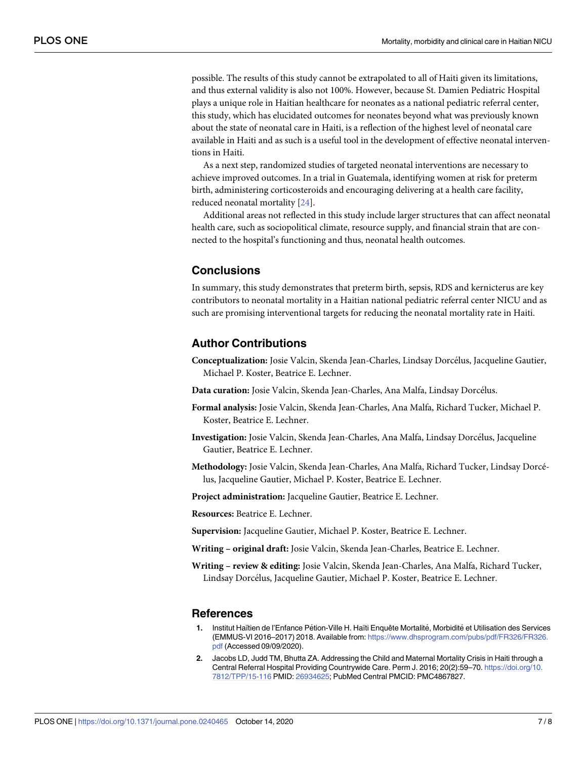<span id="page-6-0"></span>possible. The results of this study cannot be extrapolated to all of Haiti given its limitations, and thus external validity is also not 100%. However, because St. Damien Pediatric Hospital plays a unique role in Haitian healthcare for neonates as a national pediatric referral center, this study, which has elucidated outcomes for neonates beyond what was previously known about the state of neonatal care in Haiti, is a reflection of the highest level of neonatal care available in Haiti and as such is a useful tool in the development of effective neonatal interventions in Haiti.

As a next step, randomized studies of targeted neonatal interventions are necessary to achieve improved outcomes. In a trial in Guatemala, identifying women at risk for preterm birth, administering corticosteroids and encouraging delivering at a health care facility, reduced neonatal mortality [[24](#page-7-0)].

Additional areas not reflected in this study include larger structures that can affect neonatal health care, such as sociopolitical climate, resource supply, and financial strain that are connected to the hospital's functioning and thus, neonatal health outcomes.

### **Conclusions**

In summary, this study demonstrates that preterm birth, sepsis, RDS and kernicterus are key contributors to neonatal mortality in a Haitian national pediatric referral center NICU and as such are promising interventional targets for reducing the neonatal mortality rate in Haiti.

#### **Author Contributions**

- **Conceptualization:** Josie Valcin, Skenda Jean-Charles, Lindsay Dorcélus, Jacqueline Gautier, Michael P. Koster, Beatrice E. Lechner.
- Data curation: Josie Valcin, Skenda Jean-Charles, Ana Malfa, Lindsay Dorcélus.
- **Formal analysis:** Josie Valcin, Skenda Jean-Charles, Ana Malfa, Richard Tucker, Michael P. Koster, Beatrice E. Lechner.
- Investigation: Josie Valcin, Skenda Jean-Charles, Ana Malfa, Lindsay Dorcélus, Jacqueline Gautier, Beatrice E. Lechner.
- **Methodology:** Josie Valcin, Skenda Jean-Charles, Ana Malfa, Richard Tucker, Lindsay Dorce´ lus, Jacqueline Gautier, Michael P. Koster, Beatrice E. Lechner.

**Project administration:** Jacqueline Gautier, Beatrice E. Lechner.

**Resources:** Beatrice E. Lechner.

**Supervision:** Jacqueline Gautier, Michael P. Koster, Beatrice E. Lechner.

**Writing – original draft:** Josie Valcin, Skenda Jean-Charles, Beatrice E. Lechner.

**Writing – review & editing:** Josie Valcin, Skenda Jean-Charles, Ana Malfa, Richard Tucker, Lindsay Dorcélus, Jacqueline Gautier, Michael P. Koster, Beatrice E. Lechner.

#### **References**

- **[1](#page-1-0).** Institut Haïtien de l'Enfance Pe´tion-Ville H. Haïti Enquête Mortalite´, Morbidite´ et Utilisation des Services (EMMUS-VI 2016–2017) 2018. Available from: [https://www.dhsprogram.com/pubs/pdf/FR326/FR326.](https://www.dhsprogram.com/pubs/pdf/FR326/FR326.pdf) [pdf](https://www.dhsprogram.com/pubs/pdf/FR326/FR326.pdf) (Accessed 09/09/2020).
- **[2](#page-1-0).** Jacobs LD, Judd TM, Bhutta ZA. Addressing the Child and Maternal Mortality Crisis in Haiti through a Central Referral Hospital Providing Countrywide Care. Perm J. 2016; 20(2):59–70. [https://doi.org/10.](https://doi.org/10.7812/TPP/15-116) [7812/TPP/15-116](https://doi.org/10.7812/TPP/15-116) PMID: [26934625;](http://www.ncbi.nlm.nih.gov/pubmed/26934625) PubMed Central PMCID: PMC4867827.